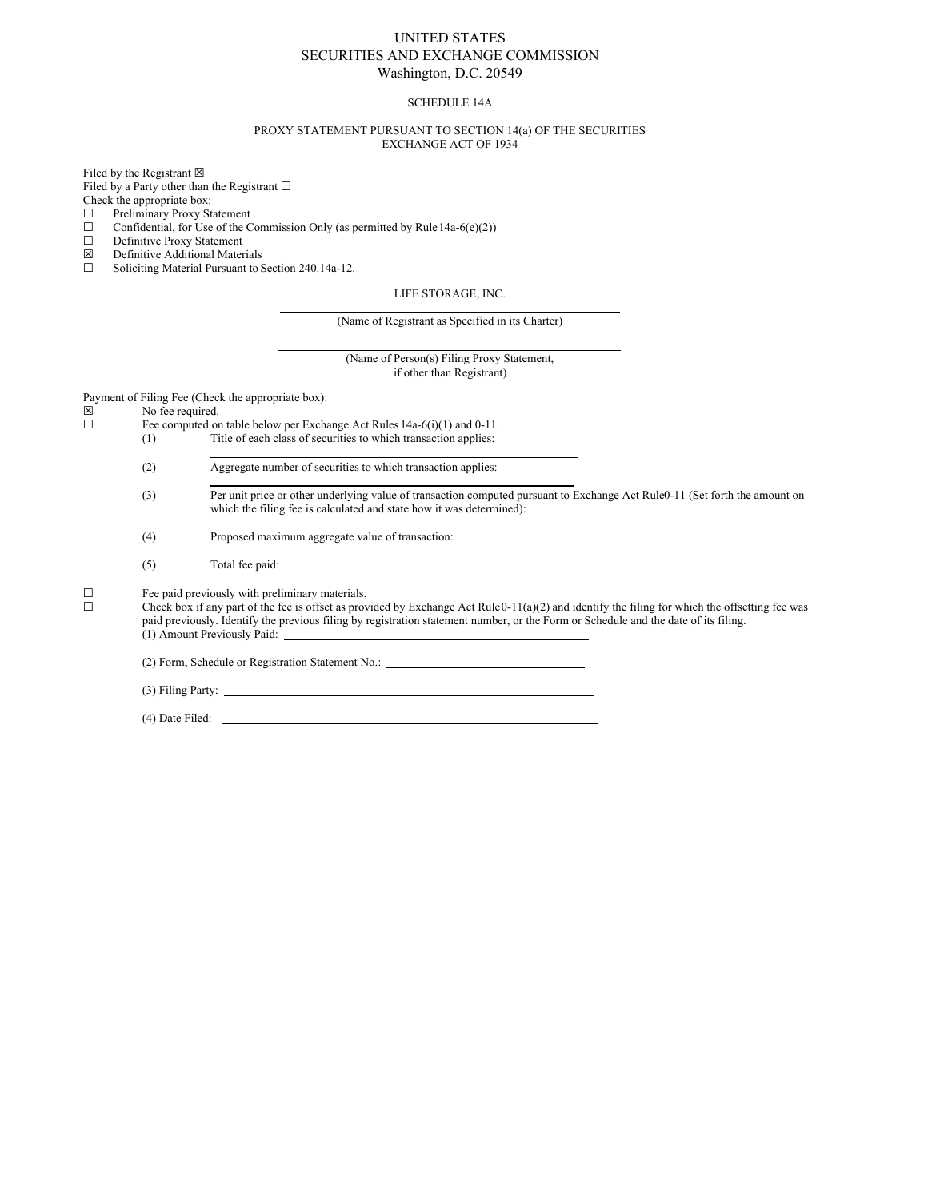## UNITED STATES SECURITIES AND EXCHANGE COMMISSION Washington, D.C. 20549

#### SCHEDULE 14A

#### PROXY STATEMENT PURSUANT TO SECTION 14(a) OF THE SECURITIES EXCHANGE ACT OF 1934

Filed by the Registrant  $\boxtimes$ 

Filed by a Party other than the Registrant  $□$ 

- Check the appropriate box:
- ☐ Preliminary Proxy Statement
- $\Box$  Confidential, for Use of the Commission Only (as permitted by Rule 14a-6(e)(2))  $\Box$  Definitive Proxy Statement
- Definitive Proxy Statement
- $\boxtimes$  Definitive Additional Materials<br>  $\Box$  Soliciting Material Pursuant to S
- Soliciting Material Pursuant to Section 240.14a-12.

#### LIFE STORAGE, INC.

(Name of Registrant as Specified in its Charter)

(Name of Person(s) Filing Proxy Statement, if other than Registrant)

Payment of Filing Fee (Check the appropriate box):<br>  $\boxtimes$  No fee required.

 $\boxtimes$  No fee required.<br>  $\Box$  Fee computed or

- Fee computed on table below per Exchange Act Rules  $14a-6(i)(1)$  and  $0-11$ .<br>(1) Title of each class of securities to which transaction applies:
- Title of each class of securities to which transaction applies:

(2) Aggregate number of securities to which transaction applies:

- (3) Per unit price or other underlying value of transaction computed pursuant to Exchange Act Rule0-11 (Set forth the amount on which the filing fee is calculated and state how it was determined):
- (4) Proposed maximum aggregate value of transaction:
- (5) Total fee paid:

 $\Box$  Fee paid previously with preliminary materials.<br> $\Box$  Check box if any part of the fee is offset as prov

Check box if any part of the fee is offset as provided by Exchange Act Rule $0-11(a)(2)$  and identify the filing for which the offsetting fee was paid previously. Identify the previous filing by registration statement number, or the Form or Schedule and the date of its filing. (1) Amount Previously Paid:

(2) Form, Schedule or Registration Statement No.:

(3) Filing Party:

(4) Date Filed: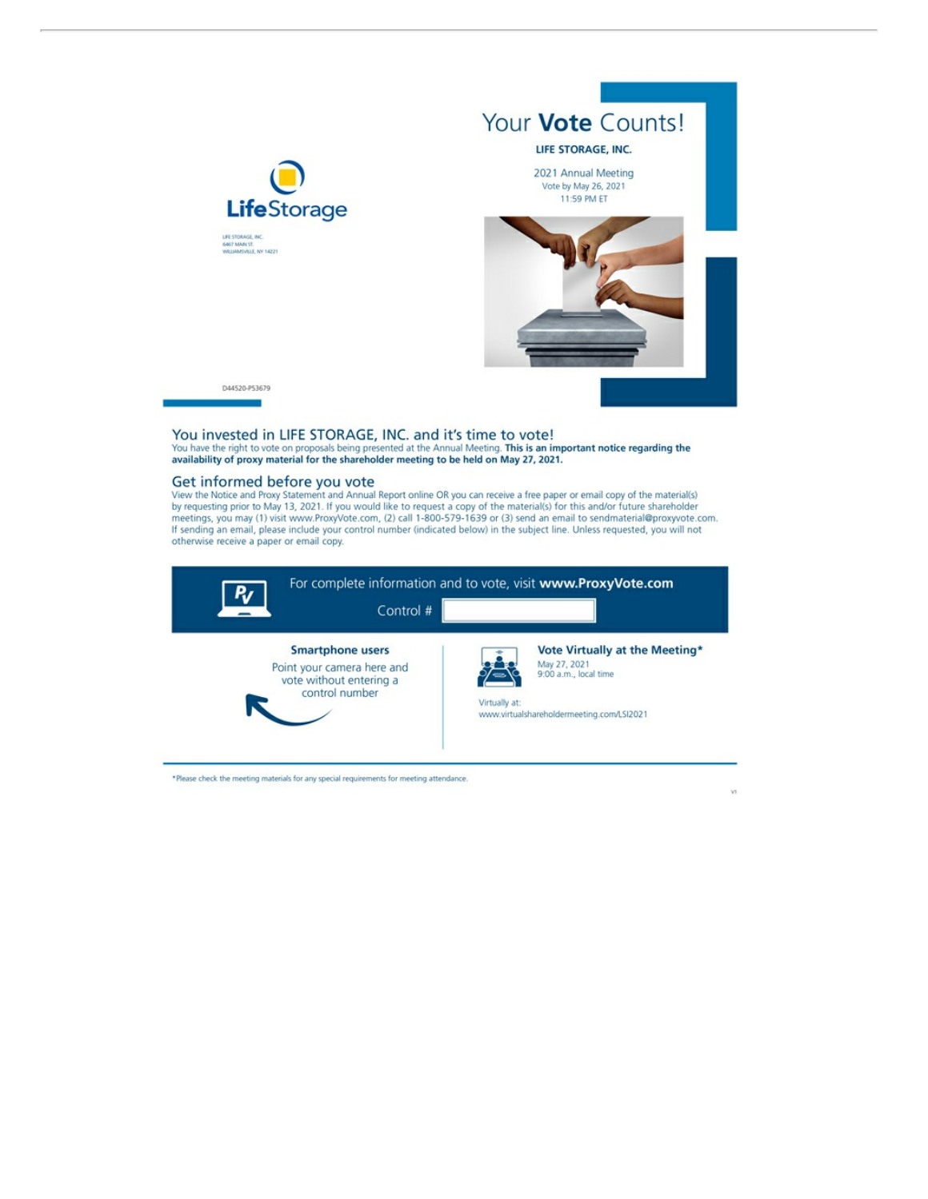

You invested in LIFE STORAGE, INC. and it's time to vote!<br>You have the right to vote on proposals being presented at the Annual Meeting. This is an important notice regarding the<br>availability of proxy material for the shar

### Get informed before you vote

Use the Notice and Proxy Statement and Annual Report online OR you can receive a free paper or email copy of the material(s)<br>by requesting prior to May 13, 2021. If you would like to request a copy of the material(s) for t



\*Please check the meeting materials for any special requirements for meeting attendance.

 $\sqrt{3}$